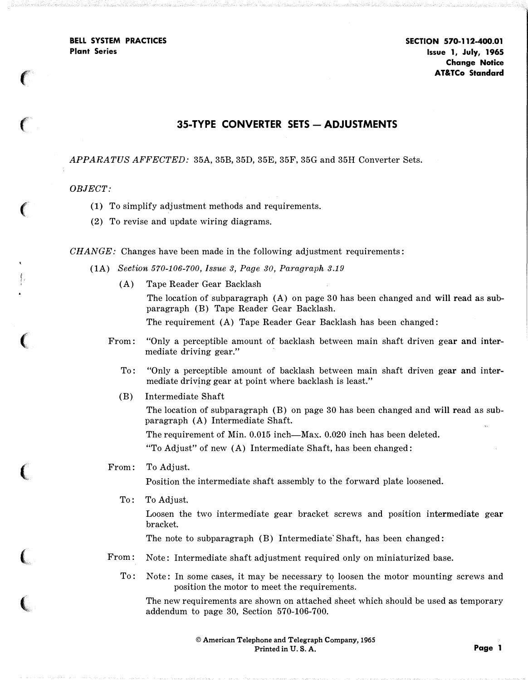BELL SYSTEM PRACTICES Plant Series

SECTION 570-112-400.01 Issue 1, July, 1965 Change Notice AT&TCo Standard

# **35-TYPE CONVERTER SETS - ADJUSTMENTS**

APPARATUS AFFECTED: 35A, 35B, 35D, 35E, 35F, 35G and 35H Converter Sets.

OBJECT:

 $\big($ 

 $\epsilon$ 

 $\big($ 

(

(

 $\big($ 

- (1) To simplify adjustment methods and requirements.
- (2) To revise and update wiring diagrams.

 $CHANGE$ : Changes have been made in the following adjustment requirements:

- (lA) Section 570-106-700, Issue 3, Page 30, Paragraph 3.19
	- (A) Tape Reader Gear Backlash

The location of subparagraph (A) on page 30 has been changed and will read as subparagraph (B) Tape Reader Gear Backlash.

The requirement (A) Tape Reader Gear Backlash has been changed:

- From: "Only a perceptible amount of backlash between main shaft driven gear and intermediate driving gear."
	- To: "Only a perceptible amount of backlash between main shaft driven gear and intermediate driving gear at point where backlash is least."
	- (B) Intermediate Shaft

The location of subparagraph (B) on page 30 has been changed and will read as subparagraph (A) Intermediate Shaft.

The requirement of Min. 0.015 inch—Max. 0.020 inch has been deleted.

"To Adjust" of new (A) Intermediate Shaft, has been changed:

From: To Adjust.

Position the intermediate shaft assembly to the forward plate loosened.

To: To Adjust.

Loosen the two intermediate gear bracket screws and position intermediate gear bracket.

The note to subparagraph (B) Intermediate Shaft, has been changed:

- From: Note: Intermediate shaft adjustment required only on miniaturized base.
	- To: Note: In some cases, it may be necessary to loosen the motor mounting screws and position the motor to meet the requirements.

The new requirements are shown on attached sheet which should be used as temporary addendum to page 30, Section 570-106-700.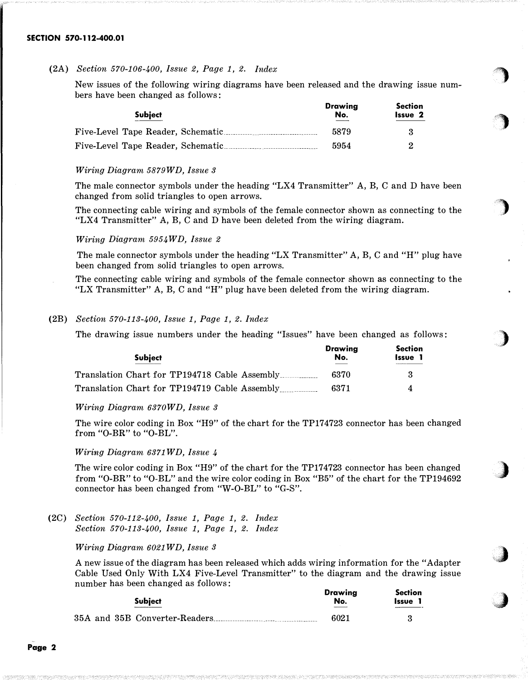### (2A) Section 570-106-400, Issue 2, Page 1, 2. Index

New issues of the following wiring diagrams have been released and the drawing issue numbers have been changed as follows:

·�

'l

}

)

,,}

,,)

| Subject                           | Drawina<br>No. | Section<br><b>Issue 2</b> |
|-----------------------------------|----------------|---------------------------|
| Five-Level Tape Reader, Schematic | 5879           |                           |
| Five-Level Tape Reader, Schematic | 5954           |                           |

#### Wiring Diagram 5879WD, Issue 3

The male connector symbols under the heading "LX4 Transmitter" A, B, C and D have been changed from solid triangles to open arrows.

The connecting cable wiring and symbols of the female connector shown as connecting to the "LX4 Transmitter" A, B, C and D have been deleted from the wiring diagram.

### Wiring Diagram 5954WD, Issue 2

The male connector symbols under the heading "LX Transmitter" A, B, C and "H" plug have been changed from solid triangles to open arrows.

The connecting cable wiring and symbols of the female connector shown as connecting to the "LX Transmitter" A, B, C and "H" plug have been deleted from the wiring diagram.

#### (2B) Section 570-113-400, Issue 1, Page 1, 2. Index

The drawing issue numbers under the heading "Issues" have been changed as follows:

| Subject                                       | Drawina<br>No. | Section<br><i><b>Issue 1</b></i> |  |
|-----------------------------------------------|----------------|----------------------------------|--|
| Translation Chart for TP194718 Cable Assembly | 6370           | 3                                |  |
| Translation Chart for TP194719 Cable Assembly | 6371           | Δ                                |  |

Wiring Diagram 6370WD, Issue 3

The wire color coding in Box "H9" of the chart for the TP174723 connector has been changed from "0-BR" to "0-BL".

#### Wiring Diagram 6371WD, Issue 4

The wire color coding in Box "H9" of the chart for the TP174723 connector has been changed from "O-BR" to "O-BL" and the wire color coding in Box "B5" of the chart for the TP194692 connector has been changed from "W-0-BL" to "G-S".

(2C) Section 570-112-400, Issue 1, Page 1, 2. Index Section 570-113-400, Issue 1, Page 1, 2. Index

### Wiring Diagram 6021WD, Issue 3

A new issue of the diagram has been released which adds wiring information for the "Adapter Cable Used Only With LX4 Five-Level Transmitter" to the diagram and the drawing issue number has been changed as follows:

|  | Subiect |                               | Drawina<br>No.<br>___ | Section<br>Issue 1 |
|--|---------|-------------------------------|-----------------------|--------------------|
|  |         | 35A and 35B Converter-Readers | 6021                  |                    |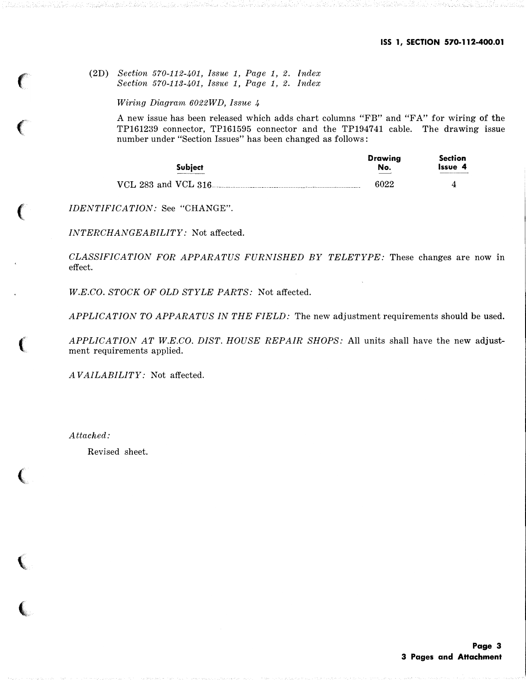# (2D) Section 570-112-401, Issue 1, Page 1, 2. lndex Section 570-113-401, Issue 1, Page 1, 2. Index

Wiring Diagram 6022WD, Issue 4

A new issue has been released which adds chart columns "FB" and "FA" for wiring of the TP161239 connector, TP161595 connector and the TP194741 cable. The drawing issue number under "Section Issues" has been changed as follows:

| <b>Subject</b>      | Drawing | <b>Section</b> |
|---------------------|---------|----------------|
|                     | No.     | Issue 4        |
| VCL 283 and VCL 316 | 6022    |                |

IDENTIFICATION: See "CHANGE".

INTERCHANGEABILITY: Not affected.

CLASSIFICATION FOR APPARATUS FURNISHED BY TELETYPE: These changes are now in effect.

W.E.CO. STOCK OF OLD STYLE PARTS: Not affected.

APPLICATION TO APPARATUS IN THE FIELD: The new adjustment requirements should be used.

APPLICATION AT W.E.CO. DIST. HOUSE REPAIR SHOPS: All units shall have the new adjustment requirements applied.

A VA/LABILITY: Not affected.

Attached:

 $\,$  ,  $\,$  ,  $\,$  ,  $\,$  ,  $\,$  ,  $\,$  ,  $\,$  ,  $\,$  ,  $\,$  ,  $\,$  ,  $\,$  ,  $\,$  ,  $\,$  ,  $\,$  ,  $\,$  ,  $\,$  ,  $\,$  ,  $\,$  ,  $\,$  ,  $\,$  ,  $\,$  ,  $\,$  ,  $\,$  ,  $\,$  ,  $\,$  ,  $\,$  ,  $\,$  ,  $\,$  ,  $\,$  ,  $\,$  ,  $\,$  ,  $\,$ 

Revised sheet.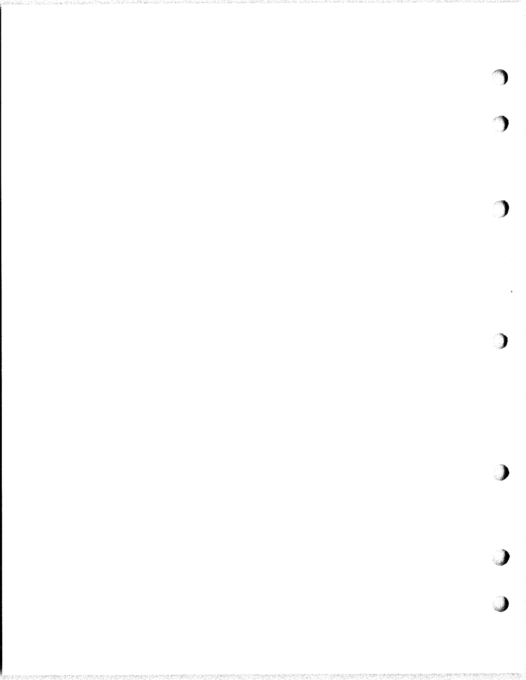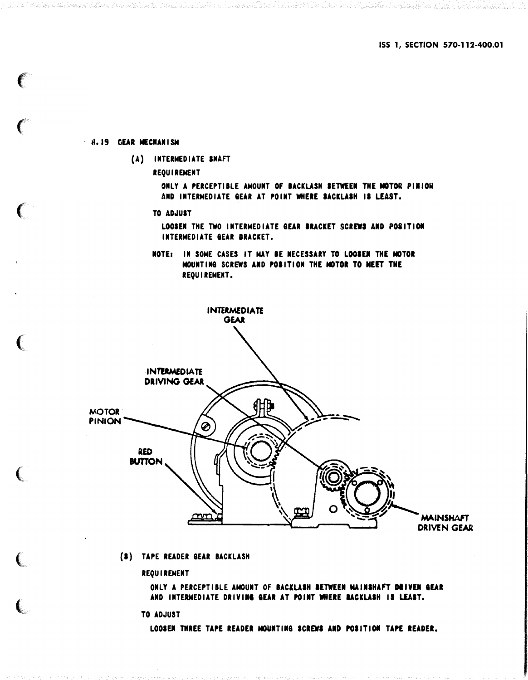# **A.19 GEAR MECHANISM**

 $\epsilon$ 

 $\epsilon$ 

 $\big($ 

 $\big($ 

 $\big($ 

(

 $\big($ 

(A) INTERMEDIATE SMAFT

REQU I REMEMT

ONLY A PERCEPTIBLE AMOUNT OF BACKLASH SETWEEN THE MOTOR PINION AND INTERMEDIATE GEAR AT POINT WHERE SACKLASH IS LEAST.

TO ADJUST

LOOSEN THE TWO INTERMEDIATE GEAR SRACKET SCREWS AND POSITION INTERMEDIATE GEAR BRACKET.

NOTE: IN SOME CASES IT MAY BE NECESSARY TO LOOSEN THE MOTOR MOUNTING SCREWS AND POBITION THE MOTOR TO MEET THE REQUIREMENT.



#### (8) TAPE READER GEAR BACKLASH

#### REQUIREMENT

ONLY A PERCEPTIBLE AMOUNT OF BACKLASH BETWEEN MAINSHAFT DRIVEN GEAR AND INTERMEDIATE DRIVING GEAR AT POINT WHERE BACKLASH IS LEAST.

### TO ADJUST

LOOSEN THREE TAPE READER MOUNTING SCREWS AND POSITION TAPE READER.